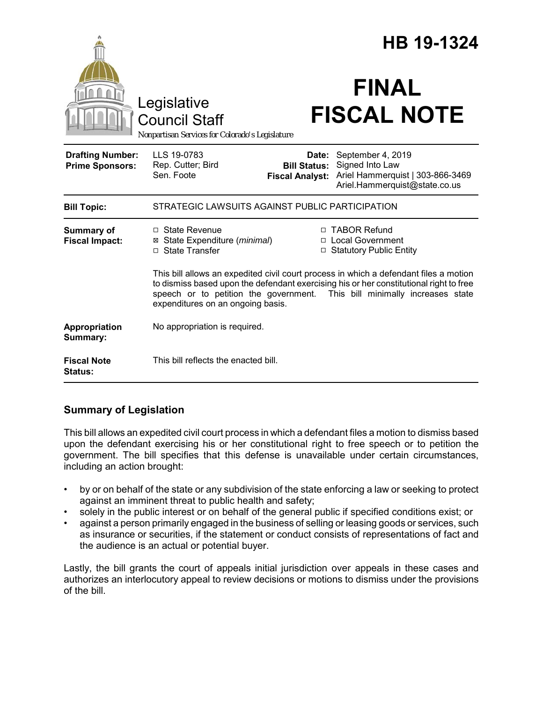|                                                   |                                                                                                                                                                                                                                                                                                   | HB 19-1324                                             |                                                                                                           |
|---------------------------------------------------|---------------------------------------------------------------------------------------------------------------------------------------------------------------------------------------------------------------------------------------------------------------------------------------------------|--------------------------------------------------------|-----------------------------------------------------------------------------------------------------------|
|                                                   | Legislative<br><b>Council Staff</b><br>Nonpartisan Services for Colorado's Legislature                                                                                                                                                                                                            |                                                        | <b>FINAL</b><br><b>FISCAL NOTE</b>                                                                        |
| <b>Drafting Number:</b><br><b>Prime Sponsors:</b> | LLS 19-0783<br>Rep. Cutter; Bird<br>Sen. Foote                                                                                                                                                                                                                                                    | Date:<br><b>Bill Status:</b><br><b>Fiscal Analyst:</b> | September 4, 2019<br>Signed Into Law<br>Ariel Hammerquist   303-866-3469<br>Ariel.Hammerquist@state.co.us |
| <b>Bill Topic:</b>                                | STRATEGIC LAWSUITS AGAINST PUBLIC PARTICIPATION                                                                                                                                                                                                                                                   |                                                        |                                                                                                           |
| <b>Summary of</b><br><b>Fiscal Impact:</b>        | $\Box$ State Revenue<br>⊠ State Expenditure (minimal)<br>□ State Transfer                                                                                                                                                                                                                         |                                                        | □ TABOR Refund<br>□ Local Government<br>□ Statutory Public Entity                                         |
|                                                   | This bill allows an expedited civil court process in which a defendant files a motion<br>to dismiss based upon the defendant exercising his or her constitutional right to free<br>speech or to petition the government. This bill minimally increases state<br>expenditures on an ongoing basis. |                                                        |                                                                                                           |
| Appropriation<br>Summary:                         | No appropriation is required.                                                                                                                                                                                                                                                                     |                                                        |                                                                                                           |
| <b>Fiscal Note</b><br><b>Status:</b>              | This bill reflects the enacted bill.                                                                                                                                                                                                                                                              |                                                        |                                                                                                           |

## **Summary of Legislation**

This bill allows an expedited civil court process in which a defendant files a motion to dismiss based upon the defendant exercising his or her constitutional right to free speech or to petition the government. The bill specifies that this defense is unavailable under certain circumstances, including an action brought:

- by or on behalf of the state or any subdivision of the state enforcing a law or seeking to protect against an imminent threat to public health and safety;
- solely in the public interest or on behalf of the general public if specified conditions exist; or
- against a person primarily engaged in the business of selling or leasing goods or services, such as insurance or securities, if the statement or conduct consists of representations of fact and the audience is an actual or potential buyer.

Lastly, the bill grants the court of appeals initial jurisdiction over appeals in these cases and authorizes an interlocutory appeal to review decisions or motions to dismiss under the provisions of the bill.